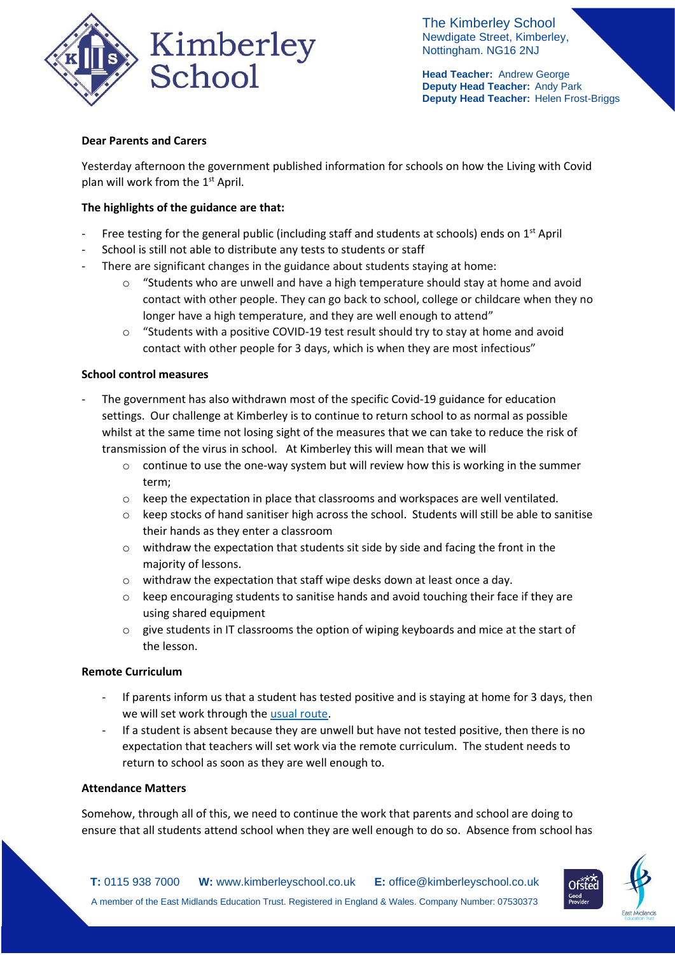

The Kimberley School Newdigate Street, Kimberley, Nottingham. NG16 2NJ

**Head Teacher:** Andrew George **Deputy Head Teacher:** Andy Park **Deputy Head Teacher:** Helen Frost-Briggs

# **Dear Parents and Carers**

Yesterday afternoon the government published information for schools on how the Living with Covid plan will work from the 1<sup>st</sup> April.

# **The highlights of the guidance are that:**

- Free testing for the general public (including staff and students at schools) ends on  $1<sup>st</sup>$  April
- School is still not able to distribute any tests to students or staff
- There are significant changes in the guidance about students staying at home:
	- $\circ$  "Students who are unwell and have a high temperature should stay at home and avoid contact with other people. They can go back to school, college or childcare when they no longer have a high temperature, and they are well enough to attend"
	- $\circ$  "Students with a positive COVID-19 test result should try to stay at home and avoid contact with other people for 3 days, which is when they are most infectious"

## **School control measures**

- The government has also withdrawn most of the specific Covid-19 guidance for education settings. Our challenge at Kimberley is to continue to return school to as normal as possible whilst at the same time not losing sight of the measures that we can take to reduce the risk of transmission of the virus in school. At Kimberley this will mean that we will
	- $\circ$  continue to use the one-way system but will review how this is working in the summer term;
	- $\circ$  keep the expectation in place that classrooms and workspaces are well ventilated.
	- $\circ$  keep stocks of hand sanitiser high across the school. Students will still be able to sanitise their hands as they enter a classroom
	- o withdraw the expectation that students sit side by side and facing the front in the majority of lessons.
	- o withdraw the expectation that staff wipe desks down at least once a day.
	- o keep encouraging students to sanitise hands and avoid touching their face if they are using shared equipment
	- $\circ$  give students in IT classrooms the option of wiping keyboards and mice at the start of the lesson.

## **Remote Curriculum**

- If parents inform us that a student has tested positive and is staying at home for 3 days, then we will set work through the [usual route.](https://www.kimberleyschool.co.uk/remotecurriculum)
- If a student is absent because they are unwell but have not tested positive, then there is no expectation that teachers will set work via the remote curriculum. The student needs to return to school as soon as they are well enough to.

## **Attendance Matters**

Somehow, through all of this, we need to continue the work that parents and school are doing to ensure that all students attend school when they are well enough to do so. Absence from school has